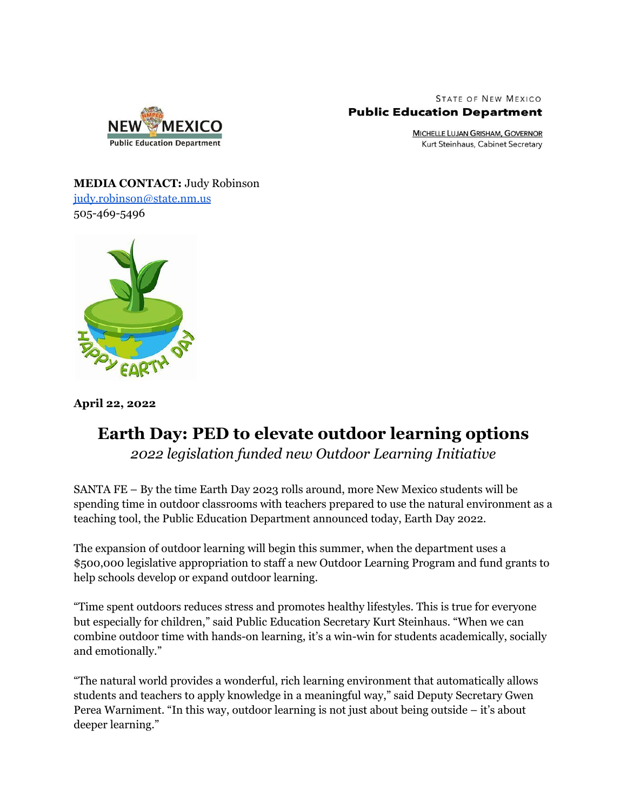

**STATE OF NEW MEXICO Public Education Department** 

> **MICHELLE LUJAN GRISHAM, GOVERNOR** Kurt Steinhaus, Cabinet Secretary

**MEDIA CONTACT:** Judy Robinson [judy.robinson@state.nm.us](mailto:judy.robinson@state.nm.us) 505-469-5496



**April 22, 2022**

## **Earth Day: PED to elevate outdoor learning options**

*2022 legislation funded new Outdoor Learning Initiative*

SANTA FE – By the time Earth Day 2023 rolls around, more New Mexico students will be spending time in outdoor classrooms with teachers prepared to use the natural environment as a teaching tool, the Public Education Department announced today, Earth Day 2022.

The expansion of outdoor learning will begin this summer, when the department uses a \$500,000 legislative appropriation to staff a new Outdoor Learning Program and fund grants to help schools develop or expand outdoor learning.

"Time spent outdoors reduces stress and promotes healthy lifestyles. This is true for everyone but especially for children," said Public Education Secretary Kurt Steinhaus. "When we can combine outdoor time with hands-on learning, it's a win-win for students academically, socially and emotionally."

"The natural world provides a wonderful, rich learning environment that automatically allows students and teachers to apply knowledge in a meaningful way," said Deputy Secretary Gwen Perea Warniment. "In this way, outdoor learning is not just about being outside – it's about deeper learning."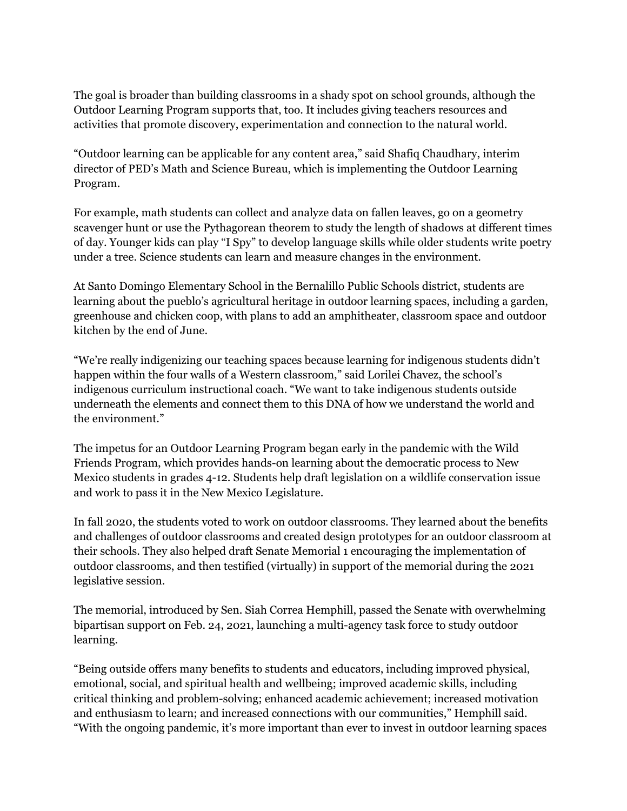The goal is broader than building classrooms in a shady spot on school grounds, although the Outdoor Learning Program supports that, too. It includes giving teachers resources and activities that promote discovery, experimentation and connection to the natural world.

"Outdoor learning can be applicable for any content area," said Shafiq Chaudhary, interim director of PED's Math and Science Bureau, which is implementing the Outdoor Learning Program.

For example, math students can collect and analyze data on fallen leaves, go on a geometry scavenger hunt or use the Pythagorean theorem to study the length of shadows at different times of day. Younger kids can play "I Spy" to develop language skills while older students write poetry under a tree. Science students can learn and measure changes in the environment.

At Santo Domingo Elementary School in the Bernalillo Public Schools district, students are learning about the pueblo's agricultural heritage in outdoor learning spaces, including a garden, greenhouse and chicken coop, with plans to add an amphitheater, classroom space and outdoor kitchen by the end of June.

"We're really indigenizing our teaching spaces because learning for indigenous students didn't happen within the four walls of a Western classroom," said Lorilei Chavez, the school's indigenous curriculum instructional coach. "We want to take indigenous students outside underneath the elements and connect them to this DNA of how we understand the world and the environment."

The impetus for an Outdoor Learning Program began early in the pandemic with the Wild Friends Program, which provides hands-on learning about the democratic process to New Mexico students in grades 4-12. Students help draft legislation on a wildlife conservation issue and work to pass it in the New Mexico Legislature.

In fall 2020, the students voted to work on outdoor classrooms. They learned about the benefits and challenges of outdoor classrooms and created design prototypes for an outdoor classroom at their schools. They also helped draft Senate Memorial 1 encouraging the implementation of outdoor classrooms, and then testified (virtually) in support of the memorial during the 2021 legislative session.

The memorial, introduced by Sen. Siah Correa Hemphill, passed the Senate with overwhelming bipartisan support on Feb. 24, 2021, launching a multi-agency task force to study outdoor learning.

"Being outside offers many benefits to students and educators, including improved physical, emotional, social, and spiritual health and wellbeing; improved academic skills, including critical thinking and problem-solving; enhanced academic achievement; increased motivation and enthusiasm to learn; and increased connections with our communities," Hemphill said. "With the ongoing pandemic, it's more important than ever to invest in outdoor learning spaces